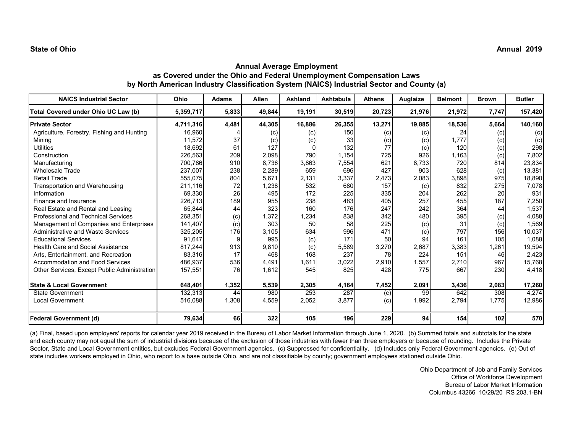| <b>NAICS Industrial Sector</b>               | Ohio      | <b>Adams</b> | <b>Allen</b> | <b>Ashland</b> | <b>Ashtabula</b> | <b>Athens</b> | Auglaize | <b>Belmont</b> | <b>Brown</b> | <b>Butler</b>  |
|----------------------------------------------|-----------|--------------|--------------|----------------|------------------|---------------|----------|----------------|--------------|----------------|
| Total Covered under Ohio UC Law (b)          | 5,359,717 | 5,833        | 49,844       | 19,191         | 30,519           | 20,723        | 21,976   | 21,972         | 7,747        | 157,420        |
| <b>Private Sector</b>                        | 4,711,316 | 4,481        | 44,305       | 16,886         | 26,355           | 13,271        | 19,885   | 18,536         | 5,664        | 140,160        |
| Agriculture, Forestry, Fishing and Hunting   | 16,960    |              | (c)          | (c)            | 150              | (c)           | (c)      | 24             | (c)          | $\overline{c}$ |
| Mining                                       | 11,572    | 37           | (c)          | (c)            | 33               | (c)           | (c)      | 1.777          | (c)          | (c)            |
| <b>Utilities</b>                             | 18,692    | 61           | 127          |                | 132              | 77            | (c)      | 120            | (c)          | 298            |
| Construction                                 | 226,563   | 209          | 2,098        | 790            | 1,154            | 725           | 926      | 1,163          | (c)          | 7,802          |
| Manufacturing                                | 700.786   | 910          | 8,736        | 3,863          | 7,554            | 621           | 8,733    | 720            | 814          | 23,834         |
| Wholesale Trade                              | 237,007   | 238          | 2,289        | 659            | 696              | 427           | 903      | 628            | (c)          | 13,381         |
| <b>Retail Trade</b>                          | 555,075   | 804          | 5,671        | 2,131          | 3,337            | 2,473         | 2,083    | 3,898          | 975          | 18,890         |
| Transportation and Warehousing               | 211,116   | 72           | 1,238        | 532            | 680              | 157           | (c)      | 832            | 275          | 7,078          |
| Information                                  | 69,330    | 26           | 495          | 172            | 225              | 335           | 204      | 262            | 20           | 931            |
| Finance and Insurance                        | 226,713   | 189          | 955          | 238            | 483              | 405           | 257      | 455            | 187          | 7,250          |
| Real Estate and Rental and Leasing           | 65,844    | 44           | 323          | 160            | 176              | 247           | 242      | 364            | 44           | 1,537          |
| <b>Professional and Technical Services</b>   | 268,351   | (c)          | 1,372        | 1,234          | 838              | 342           | 480      | 395            | (c)          | 4,088          |
| Management of Companies and Enterprises      | 141,407   | (c)          | 303          | 50             | 58               | 225           | (c)      | 31             | (c)          | 1,569          |
| <b>Administrative and Waste Services</b>     | 325,205   | 176          | 3,105        | 634            | 996              | 471           | (c)      | 797            | 156          | 10,037         |
| <b>Educational Services</b>                  | 91,647    | 9            | 995          | (c)            | 171              | 50            | 94       | 161            | 105          | 1,088          |
| <b>Health Care and Social Assistance</b>     | 817,244   | 913          | 9,810        | (c)            | 5,589            | 3,270         | 2,687    | 3,383          | 1,261        | 19,594         |
| Arts. Entertainment, and Recreation          | 83,316    | 17           | 468          | 168            | 237              | 78            | 224      | 151            | 46           | 2,423          |
| Accommodation and Food Services              | 486,937   | 536          | 4,491        | 1,611          | 3,022            | 2,910         | 1,557    | 2,710          | 967          | 15,768         |
| Other Services, Except Public Administration | 157,551   | 76           | 1,612        | 545            | 825              | 428           | 775      | 667            | 230          | 4,418          |
| <b>State &amp; Local Government</b>          | 648,401   | 1,352        | 5,539        | 2,305          | 4,164            | 7,452         | 2,091    | 3,436          | 2,083        | 17,260         |
| State Government                             | 132,313   | 44           | 980          | 253            | 287              | (c)           | 99       | 642            | 308          | 4,274          |
| <b>Local Government</b>                      | 516,088   | 1,308        | 4,559        | 2,052          | 3,877            | (c)           | 1,992    | 2,794          | 1,775        | 12,986         |
| Federal Government (d)                       | 79,634    | 66           | 322          | 105            | 196              | 229           | 94       | 154            | 102          | 570            |

(a) Final, based upon employers' reports for calendar year 2019 received in the Bureau of Labor Market Information through June 1, 2020. (b) Summed totals and subtotals for the state and each county may not equal the sum of industrial divisions because of the exclusion of those industries with fewer than three employers or because of rounding. Includes the Private Sector, State and Local Government entities, but excludes Federal Government agencies. (c) Suppressed for confidentiality. (d) Includes only Federal Government agencies. (e) Out of state includes workers employed in Ohio, who report to a base outside Ohio, and are not classifiable by county; government employees stationed outside Ohio.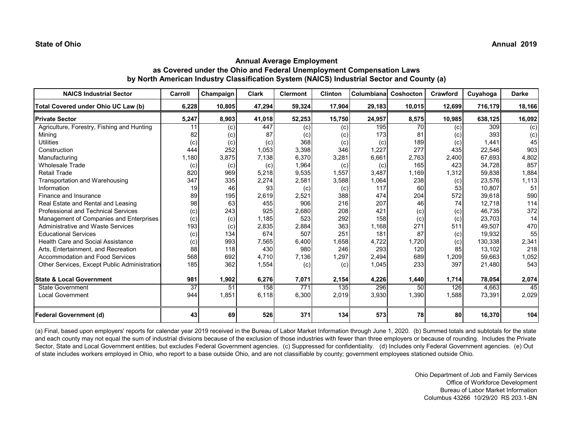| <b>NAICS Industrial Sector</b>               | Carroll | Champaign | <b>Clark</b> | <b>Clermont</b> | <b>Clinton</b> | Columbiana | Coshocton | Crawford | Cuyahoga | <b>Darke</b>   |
|----------------------------------------------|---------|-----------|--------------|-----------------|----------------|------------|-----------|----------|----------|----------------|
| Total Covered under Ohio UC Law (b)          | 6,228   | 10,805    | 47,294       | 59,324          | 17,904         | 29,183     | 10,015    | 12,699   | 716,179  | 18,166         |
| <b>Private Sector</b>                        | 5,247   | 8,903     | 41,018       | 52,253          | 15,750         | 24,957     | 8,575     | 10,985   | 638,125  | 16,092         |
| Agriculture, Forestry, Fishing and Hunting   | 11      | (c)       | 447          | (c)             | (c)            | 195        | 70        | (c)      | 309      | $\overline{c}$ |
| Mining                                       | 82      | (c)       | 87           | (c)             | (c)            | 173        | 81        | (c)      | 393      | (c)            |
| <b>Utilities</b>                             | (c)     | (c)       | (c)          | 368             | (c)            | (c)        | 189       | (c)      | 1,441    | 45             |
| Construction                                 | 444     | 252       | 1,053        | 3,398           | 346            | 1,227      | 277       | 435      | 22,546   | 903            |
| Manufacturing                                | 1.180   | 3.875     | 7.138        | 6.370           | 3,281          | 6,661      | 2,763     | 2,400    | 67.693   | 4,802          |
| <b>Wholesale Trade</b>                       | (c)     | (c)       | (c)          | 1,964           | (c)            | (c)        | 165       | 423      | 34,728   | 857            |
| <b>Retail Trade</b>                          | 820     | 969       | 5,218        | 9,535           | 1,557          | 3,487      | 1.169     | 1,312    | 59,838   | 1,884          |
| Transportation and Warehousing               | 347     | 335       | 2,274        | 2,581           | 3,588          | 1,064      | 238       | (c)      | 23,576   | 1,113          |
| Information                                  | 19      | 46        | 93           | (c)             | (c)            | 117        | 60        | 53       | 10,807   | 51             |
| Finance and Insurance                        | 89      | 195       | 2,619        | 2,521           | 388            | 474        | 204       | 572      | 39,618   | 590            |
| Real Estate and Rental and Leasing           | 98      | 63        | 455          | 906             | 216            | 207        | 46        | 74       | 12.718   | 114            |
| <b>Professional and Technical Services</b>   | (c)     | 243       | 925          | 2,680           | 208            | 421        | (c)       | (c)      | 46,735   | 372            |
| Management of Companies and Enterprises      | (c)     | (c)       | 1,185        | 523             | 292            | 158        | (c)       | (c)      | 23,703   | 14             |
| Administrative and Waste Services            | 193     | (c)       | 2,835        | 2,884           | 363            | 1,168      | 271       | 511      | 49,507   | 470            |
| <b>Educational Services</b>                  | (c)     | 134       | 674          | 507             | 251            | 181        | 87        | (c)      | 19,932   | 55             |
| <b>Health Care and Social Assistance</b>     | (c)     | 993       | 7,565        | 6,400           | 1,658          | 4,722      | 1,720     | (c)      | 130,338  | 2,341          |
| Arts, Entertainment, and Recreation          | 88      | 118       | 430          | 980             | 246            | 293        | 120       | 85       | 13,102   | 218            |
| <b>Accommodation and Food Services</b>       | 568     | 692       | 4,710        | 7,136           | 1,297          | 2,494      | 689       | 1,209    | 59,663   | 1,052          |
| Other Services, Except Public Administration | 185     | 362       | 1,554        | (c)             | (c)            | 1,045      | 233       | 397      | 21,480   | 543            |
| <b>State &amp; Local Government</b>          | 981     | 1,902     | 6,276        | 7,071           | 2,154          | 4,226      | 1,440     | 1,714    | 78,054   | 2,074          |
| <b>State Government</b>                      | 37      | 51        | 158          | 771             | 135            | 296        | 50        | 126      | 4,663    | 45             |
| Local Government                             | 944     | 1,851     | 6,118        | 6,300           | 2,019          | 3,930      | 1,390     | 1,588    | 73,391   | 2,029          |
| Federal Government (d)                       | 43      | 69        | 526          | 371             | 134            | 573        | 78        | 80       | 16,370   | 104            |

(a) Final, based upon employers' reports for calendar year 2019 received in the Bureau of Labor Market Information through June 1, 2020. (b) Summed totals and subtotals for the state and each county may not equal the sum of industrial divisions because of the exclusion of those industries with fewer than three employers or because of rounding. Includes the Private Sector, State and Local Government entities, but excludes Federal Government agencies. (c) Suppressed for confidentiality. (d) Includes only Federal Government agencies. (e) Out of state includes workers employed in Ohio, who report to a base outside Ohio, and are not classifiable by county; government employees stationed outside Ohio.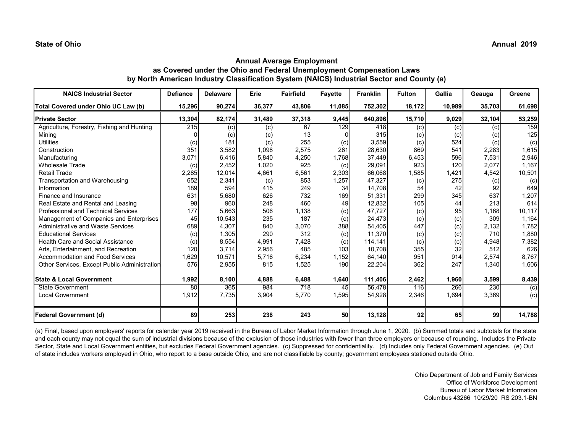# **Annual Average Employment as Covered under the Ohio and Federal Unemployment Compensation Laws by North American Industry Classification System (NAICS) Industrial Sector and County (a)**

| <b>NAICS Industrial Sector</b>               | <b>Defiance</b> | <b>Delaware</b> | Erie   | <b>Fairfield</b> | <b>Fayette</b> | <b>Franklin</b> | <b>Fulton</b> | Gallia | Geauga | Greene         |
|----------------------------------------------|-----------------|-----------------|--------|------------------|----------------|-----------------|---------------|--------|--------|----------------|
| Total Covered under Ohio UC Law (b)          | 15,296          | 90,274          | 36,377 | 43,806           | 11,085         | 752,302         | 18,172        | 10,989 | 35,703 | 61,698         |
| <b>Private Sector</b>                        | 13,304          | 82,174          | 31,489 | 37,318           | 9,445          | 640,896         | 15,710        | 9,029  | 32,104 | 53,259         |
| Agriculture, Forestry, Fishing and Hunting   | 215             | (c)             | (c)    | 67               | 129            | 418             | (c)           | (c)    | (c)    | 159            |
| Minina                                       |                 | (c)             | (c)    | 13               |                | 315             | (c)           | (c)    | (c)    | 125            |
| <b>Utilities</b>                             | (c)             | 181             | (c)    | 255              | (c)            | 3,559           | (c)           | 524    | (c)    | (c)            |
| Construction                                 | 351             | 3,582           | 1,098  | 2,575            | 261            | 28,630          | 869           | 541    | 2,283  | 1,615          |
| Manufacturing                                | 3,071           | 6,416           | 5,840  | 4,250            | 1.768          | 37,449          | 6,453         | 596    | 7,531  | 2,946          |
| <b>Wholesale Trade</b>                       | (c)             | 2,452           | 1,020  | 925              | (c)            | 29,091          | 923           | 120    | 2,077  | 1.167          |
| <b>Retail Trade</b>                          | 2,285           | 12,014          | 4,661  | 6,561            | 2,303          | 66,068          | 1,585         | 1,421  | 4,542  | 10,501         |
| Transportation and Warehousing               | 652             | 2,341           | (c)    | 853              | 1,257          | 47,327          | (c)           | 275    | (c)    | (c)            |
| Information                                  | 189             | 594             | 415    | 249              | 34             | 14,708          | 54            | 42     | 92     | 649            |
| Finance and Insurance                        | 631             | 5,680           | 626    | 732              | 169            | 51,331          | 299           | 345    | 637    | 1,207          |
| Real Estate and Rental and Leasing           | 98              | 960             | 248    | 460              | 49             | 12,832          | 105           | 44     | 213    | 614            |
| <b>Professional and Technical Services</b>   | 177             | 5,663           | 506    | 1,138            | (c)            | 47,727          | (c)           | 95     | 1,168  | 10,117         |
| Management of Companies and Enterprises      | 45              | 10,543          | 235    | 187              | (c)            | 24,473          | (c)           | (c)    | 309    | 1,164          |
| <b>Administrative and Waste Services</b>     | 689             | 4,307           | 840    | 3,070            | 388            | 54,405          | 447           | (c)    | 2,132  | 1,782          |
| <b>Educational Services</b>                  | (c)             | 1,305           | 290    | 312              | (c)            | 11,370          | (c)           | (c)    | 710    | 1,880          |
| Health Care and Social Assistance            | (c)             | 8,554           | 4,991  | 7,428            | (c)            | 114,141         | (c)           | (c)    | 4,948  | 7,382          |
| Arts, Entertainment, and Recreation          | 120             | 3.714           | 2,956  | 485              | 103            | 10.708          | 355           | 32     | 512    | 626            |
| Accommodation and Food Services              | 1,629           | 10,571          | 5,716  | 6,234            | 1,152          | 64,140          | 951           | 914    | 2,574  | 8,767          |
| Other Services, Except Public Administration | 576             | 2,955           | 815    | 1,525            | 190            | 22,204          | 362           | 247    | 1,340  | 1,606          |
| <b>State &amp; Local Government</b>          | 1,992           | 8,100           | 4,888  | 6,488            | 1,640          | 111,406         | 2,462         | 1,960  | 3,599  | 8,439          |
| <b>State Government</b>                      | 80              | 365             | 984    | 718              | 45             | 56,478          | 116           | 266    | 230    | $\overline{c}$ |
| <b>Local Government</b>                      | 1,912           | 7,735           | 3,904  | 5,770            | 1,595          | 54,928          | 2,346         | 1,694  | 3,369  | (c)            |
|                                              |                 |                 |        |                  |                |                 |               |        |        |                |
| <b>Federal Government (d)</b>                | 89              | 253             | 238    | 243              | 50             | 13,128          | 92            | 65     | 99     | 14,788         |

(a) Final, based upon employers' reports for calendar year 2019 received in the Bureau of Labor Market Information through June 1, 2020. (b) Summed totals and subtotals for the state and each county may not equal the sum of industrial divisions because of the exclusion of those industries with fewer than three employers or because of rounding. Includes the Private Sector, State and Local Government entities, but excludes Federal Government agencies. (c) Suppressed for confidentiality. (d) Includes only Federal Government agencies. (e) Out of state includes workers employed in Ohio, who report to a base outside Ohio, and are not classifiable by county; government employees stationed outside Ohio.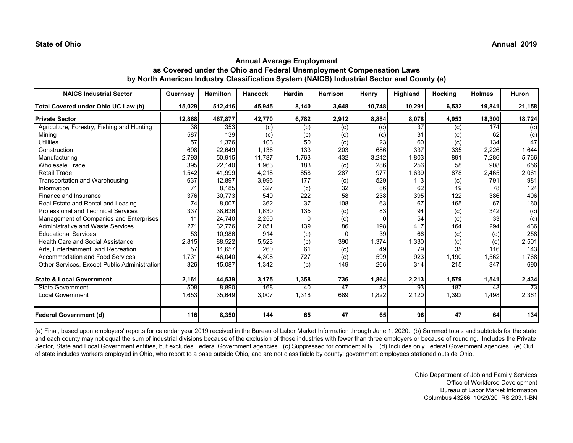| <b>NAICS Industrial Sector</b>               | Guernsey        | <b>Hamilton</b> | <b>Hancock</b> | <b>Hardin</b> | <b>Harrison</b> | Henry  | Highland        | Hocking | <b>Holmes</b> | Huron           |
|----------------------------------------------|-----------------|-----------------|----------------|---------------|-----------------|--------|-----------------|---------|---------------|-----------------|
| Total Covered under Ohio UC Law (b)          | 15,029          | 512,416         | 45,945         | 8,140         | 3,648           | 10,748 | 10,291          | 6,532   | 19,841        | 21,158          |
| <b>Private Sector</b>                        | 12,868          | 467,877         | 42,770         | 6,782         | 2,912           | 8,884  | 8,078           | 4,953   | 18,300        | 18,724          |
| Agriculture, Forestry, Fishing and Hunting   | $\overline{38}$ | 353             | (c)            | (c)           | (c)             | (c)    | $\overline{37}$ | (c)     | 174           | $\overline{c}$  |
| Minina                                       | 587             | 139             | (c)            | (c)           | (c)             | (c)    | 31              | (c)     | 62            | (c)             |
| <b>Utilities</b>                             | 57              | 1,376           | 103            | 50            | (c)             | 23     | 60              | (c)     | 134           | 47              |
| Construction                                 | 698             | 22,649          | 1,136          | 133           | 203             | 686    | 337             | 335     | 2,226         | 1,644           |
| Manufacturing                                | 2,793           | 50,915          | 11,787         | 1,763         | 432             | 3,242  | 1,803           | 891     | 7,286         | 5,766           |
| <b>Wholesale Trade</b>                       | 395             | 22.140          | 1,963          | 183           | (c)             | 286    | 256             | 58      | 908           | 656             |
| Retail Trade                                 | 1,542           | 41,999          | 4,218          | 858           | 287             | 977    | 1,639           | 878     | 2,465         | 2,061           |
| Transportation and Warehousing               | 637             | 12,897          | 3,996          | 177           | (c)             | 529    | 113             | (c)     | 791           | 981             |
| Information                                  | 71              | 8,185           | 327            | (c)           | 32              | 86     | 62              | 19      | 78            | 124             |
| Finance and Insurance                        | 376             | 30.773          | 549            | 222           | 58              | 238    | 395             | 122     | 386           | 406             |
| Real Estate and Rental and Leasing           | 74              | 8,007           | 362            | 37            | 108             | 63     | 67              | 165     | 67            | 160             |
| Professional and Technical Services          | 337             | 38,636          | 1,630          | 135           | (c)             | 83     | 94              | (c)     | 342           | (c)             |
| Management of Companies and Enterprises      | 11              | 24,740          | 2,250          | $\Omega$      | (c)             |        | 54              | (c)     | 33            | (c)             |
| <b>Administrative and Waste Services</b>     | 271             | 32,776          | 2,051          | 139           | 86              | 198    | 417             | 164     | 294           | 436             |
| <b>Educational Services</b>                  | 53              | 10,986          | 914            | (c)           |                 | 39     | 66              | (c)     | (c)           | 258             |
| <b>Health Care and Social Assistance</b>     | 2,815           | 88,522          | 5,523          | (c)           | 390             | 1,374  | 1,330           | (c)     | (c)           | 2,501           |
| Arts, Entertainment, and Recreation          | 57              | 11,657          | 260            | 61            | (c)             | 49     | 79              | 35      | 116           | 143             |
| Accommodation and Food Services              | 1,731           | 46,040          | 4,308          | 727           | (c)             | 599    | 923             | 1,190   | 1,562         | 1,768           |
| Other Services, Except Public Administration | 326             | 15,087          | 1,342          | (c)           | 149             | 266    | 314             | 215     | 347           | 690             |
|                                              |                 |                 |                |               |                 |        |                 |         |               |                 |
| <b>State &amp; Local Government</b>          | 2,161           | 44,539          | 3,175          | 1,358         | 736             | 1,864  | 2,213           | 1,579   | 1,541         | 2,434           |
| <b>State Government</b>                      | 508             | 8,890           | 168            | 40            | 47              | 42     | $\overline{93}$ | 187     | 43            | $\overline{73}$ |
| <b>Local Government</b>                      | 1,653           | 35,649          | 3,007          | 1,318         | 689             | 1,822  | 2,120           | 1,392   | 1,498         | 2,361           |
| <b>Federal Government (d)</b>                | 116             | 8,350           | 144            | 65            | 47              | 65     | 96              | 47      | 64            | 134             |

(a) Final, based upon employers' reports for calendar year 2019 received in the Bureau of Labor Market Information through June 1, 2020. (b) Summed totals and subtotals for the state and each county may not equal the sum of industrial divisions because of the exclusion of those industries with fewer than three employers or because of rounding. Includes the Private Sector, State and Local Government entities, but excludes Federal Government agencies. (c) Suppressed for confidentiality. (d) Includes only Federal Government agencies. (e) Out of state includes workers employed in Ohio, who report to a base outside Ohio, and are not classifiable by county; government employees stationed outside Ohio.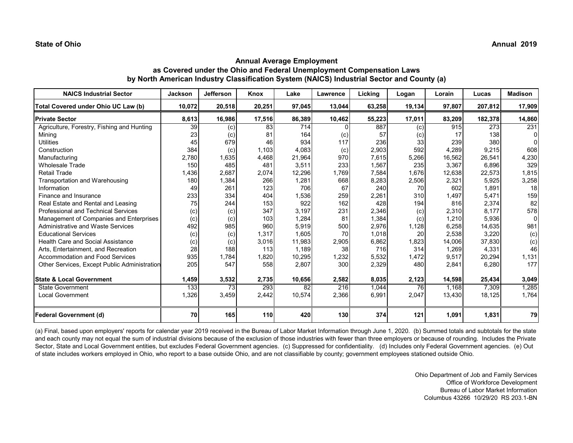# **Annual Average Employment as Covered under the Ohio and Federal Unemployment Compensation Laws by North American Industry Classification System (NAICS) Industrial Sector and County (a)**

| <b>NAICS Industrial Sector</b>               | <b>Jackson</b>  | <b>Jefferson</b> | Knox   | Lake   | Lawrence | Licking | Logan  | Lorain | Lucas   | <b>Madison</b> |
|----------------------------------------------|-----------------|------------------|--------|--------|----------|---------|--------|--------|---------|----------------|
| Total Covered under Ohio UC Law (b)          | 10,072          | 20,518           | 20,251 | 97,045 | 13,044   | 63,258  | 19,134 | 97,807 | 207,812 | 17,909         |
| <b>Private Sector</b>                        | 8,613           | 16,986           | 17,516 | 86,389 | 10,462   | 55,223  | 17,011 | 83,209 | 182,378 | 14,860         |
| Agriculture, Forestry, Fishing and Hunting   | $\overline{39}$ | (c)              | 83     | 714    |          | 887     | (c)    | 915    | 273     | 231            |
| Mining                                       | 23              | (c)              | 81     | 164    | (c)      | 57      | (c)    | 17     | 138     | 0I             |
| <b>Utilities</b>                             | 45              | 679              | 46     | 934    | 117      | 236     | 33     | 239    | 380     | 0I             |
| Construction                                 | 384             | (c)              | 1,103  | 4,083  | (c)      | 2,903   | 592    | 4,289  | 9,215   | 608            |
| Manufacturing                                | 2,780           | 1,635            | 4,468  | 21,964 | 970      | 7,615   | 5,266  | 16,562 | 26,541  | 4,230          |
| <b>Wholesale Trade</b>                       | 150             | 485              | 481    | 3,511  | 233      | 1,567   | 235    | 3,367  | 6,896   | 329            |
| <b>Retail Trade</b>                          | ,436            | 2,687            | 2,074  | 12,296 | 1,769    | 7,584   | 1,676  | 12,638 | 22,573  | 1,815          |
| Transportation and Warehousing               | 180             | 1,384            | 266    | 1,281  | 668      | 8,283   | 2,506  | 2,321  | 5,925   | 3,258          |
| Information                                  | 49              | 261              | 123    | 706    | 67       | 240     | 70     | 602    | 1,891   | 18             |
| Finance and Insurance                        | 233             | 334              | 404    | 1,536  | 259      | 2,261   | 310    | 1.497  | 5.471   | 159            |
| Real Estate and Rental and Leasing           | 75              | 244              | 153    | 922    | 162      | 428     | 194    | 816    | 2,374   | 82             |
| Professional and Technical Services          | (c)             | (c)              | 347    | 3,197  | 231      | 2,346   | (c)    | 2,310  | 8.177   | 578            |
| Management of Companies and Enterprises      | (c)             | (c)              | 103    | 1,284  | 81       | 1,384   | (c)    | 1,210  | 5,936   | $\overline{0}$ |
| <b>Administrative and Waste Services</b>     | 492             | 985              | 960    | 5.919  | 500      | 2,976   | 1,128  | 6,258  | 14,635  | 981            |
| <b>Educational Services</b>                  | (c)             | (c)              | 1,317  | 1,605  | 70       | 1,018   | 20     | 2,538  | 3,220   | (c)            |
| Health Care and Social Assistance            | (c)             | (c)              | 3,016  | 11,983 | 2,905    | 6,862   | 1,823  | 14,006 | 37,830  | (c)            |
| Arts, Entertainment, and Recreation          | 28              | 188              | 113    | 1,189  | 38       | 716     | 314    | 1,269  | 4,331   | 46             |
| Accommodation and Food Services              | 935             | 1,784            | 1,820  | 10,295 | 1,232    | 5,532   | 1,472  | 9,517  | 20,294  | 1,131          |
| Other Services, Except Public Administration | 205             | 547              | 558    | 2,807  | 300      | 2,329   | 480    | 2,841  | 6,280   | 177            |
| <b>State &amp; Local Government</b>          | 1,459           | 3,532            | 2,735  | 10,656 | 2,582    | 8,035   | 2,123  | 14,598 | 25,434  | 3,049          |
| <b>State Government</b>                      | 133             | 73               | 293    | 82     | 216      | 1,044   | 76     | 1,168  | 7,309   | 1,285          |
| <b>Local Government</b>                      | 1,326           | 3,459            | 2,442  | 10,574 | 2,366    | 6,991   | 2,047  | 13,430 | 18,125  | 1,764          |
| <b>Federal Government (d)</b>                | 70              | 165              | 110    | 420    | 130      | 374     | 121    | 1,091  | 1,831   | 79             |

(a) Final, based upon employers' reports for calendar year 2019 received in the Bureau of Labor Market Information through June 1, 2020. (b) Summed totals and subtotals for the state and each county may not equal the sum of industrial divisions because of the exclusion of those industries with fewer than three employers or because of rounding. Includes the Private Sector, State and Local Government entities, but excludes Federal Government agencies. (c) Suppressed for confidentiality. (d) Includes only Federal Government agencies. (e) Out of state includes workers employed in Ohio, who report to a base outside Ohio, and are not classifiable by county; government employees stationed outside Ohio.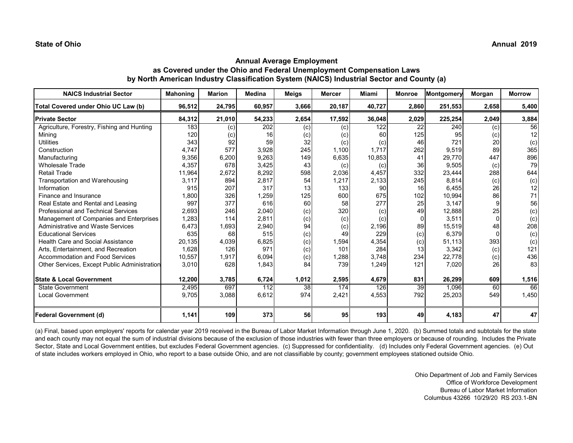| <b>NAICS Industrial Sector</b>               | <b>Mahoning</b> | <b>Marion</b> | <b>Medina</b> | Meigs | <b>Mercer</b> | Miami  | <b>Monroe</b> | Montgomery | Morgan   | <b>Morrow</b> |
|----------------------------------------------|-----------------|---------------|---------------|-------|---------------|--------|---------------|------------|----------|---------------|
| Total Covered under Ohio UC Law (b)          | 96,512          | 24,795        | 60,957        | 3,666 | 20,187        | 40,727 | 2,860         | 251,553    | 2,658    | 5,400         |
| <b>Private Sector</b>                        | 84,312          | 21,010        | 54,233        | 2,654 | 17,592        | 36,048 | 2,029         | 225,254    | 2,049    | 3,884         |
| Agriculture, Forestry, Fishing and Hunting   | 183             | (c)           | 202           | (c)   | (c)           | 122    | 22            | 240        | (c)      | 56            |
| Mining                                       | 120             | (c)           | 16            | (c)   | (c)           | 60     | 125           | 95         | (c)      | 12            |
| <b>Utilities</b>                             | 343             | 92            | 59            | 32    | (c)           | (c)    | 46            | 721        | 20       | (c)           |
| Construction                                 | 4,747           | 577           | 3,928         | 245   | 1,100         | 1,717  | 262           | 9,519      | 89       | 365           |
| Manufacturing                                | 9,356           | 6,200         | 9,263         | 149   | 6,635         | 10,853 | 41            | 29.770     | 447      | 896           |
| <b>Wholesale Trade</b>                       | 4,357           | 678           | 3,425         | 43    | (c)           | (c)    | 36            | 9,505      | (c)      | 79            |
| <b>Retail Trade</b>                          | 11,964          | 2,672         | 8,292         | 598   | 2,036         | 4,457  | 332           | 23,444     | 288      | 644           |
| Transportation and Warehousing               | 3,117           | 894           | 2,817         | 54    | 1,217         | 2,133  | 245           | 8,814      | (c)      | (c)           |
| Information                                  | 915             | 207           | 317           | 13    | 133           | 90     | 16            | 6,455      | 26       | 12            |
| Finance and Insurance                        | 1,800           | 326           | 1,259         | 125   | 600           | 675    | 102           | 10,994     | 86       | 71            |
| Real Estate and Rental and Leasing           | 997             | 377           | 616           | 60    | 58            | 277    | 25            | 3.147      |          | 56            |
| <b>Professional and Technical Services</b>   | 2,693           | 246           | 2,040         | (c)   | 320           | (c)    | 49            | 12,888     | 25       | (c)           |
| Management of Companies and Enterprises      | 1,283           | 114           | 2,811         | (c)   | (c)           | (c)    |               | 3,511      | $\Omega$ | (c)           |
| <b>Administrative and Waste Services</b>     | 6,473           | 1,693         | 2,940         | 94    | (c)           | 2,196  | 89            | 15,519     | 48       | 208           |
| <b>Educational Services</b>                  | 635             | 68            | 515           | (c)   | 49            | 229    | (c)           | 6.379      |          | (c)           |
| Health Care and Social Assistance            | 20,135          | 4,039         | 6,825         | (c)   | 1,594         | 4,354  | (c)           | 51,113     | 393      | (c)           |
| Arts, Entertainment, and Recreation          | 1,628           | 126           | 971           | (c)   | 101           | 284    | 13            | 3,342      | (c)      | 121           |
| <b>Accommodation and Food Services</b>       | 10,557          | 1,917         | 6,094         | (c)   | 1,288         | 3,748  | 234           | 22,778     | (c)      | 436           |
| Other Services, Except Public Administration | 3,010           | 628           | 1,843         | 84    | 739           | 1,249  | 121           | 7,020      | 26       | 83            |
| <b>State &amp; Local Government</b>          | 12,200          | 3,785         | 6,724         | 1,012 | 2,595         | 4,679  | 831           | 26,299     | 609      | 1,516         |
| <b>State Government</b>                      | 2,495           | 697           | 112           | 38    | 174           | 126    | 39            | 1,096      | 60       | 66            |
| <b>Local Government</b>                      | 9,705           | 3,088         | 6,612         | 974   | 2,421         | 4,553  | 792           | 25,203     | 549      | 1,450         |
| <b>Federal Government (d)</b>                | 1,141           | 109           | 373           | 56    | 95            | 193    | 49            | 4,183      | 47       | 47            |

(a) Final, based upon employers' reports for calendar year 2019 received in the Bureau of Labor Market Information through June 1, 2020. (b) Summed totals and subtotals for the state and each county may not equal the sum of industrial divisions because of the exclusion of those industries with fewer than three employers or because of rounding. Includes the Private Sector, State and Local Government entities, but excludes Federal Government agencies. (c) Suppressed for confidentiality. (d) Includes only Federal Government agencies. (e) Out of state includes workers employed in Ohio, who report to a base outside Ohio, and are not classifiable by county; government employees stationed outside Ohio.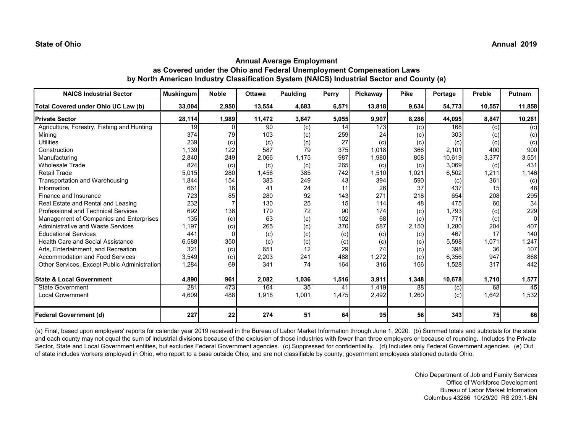| <b>NAICS Industrial Sector</b>               | <b>Muskingum</b> | <b>Noble</b> | <b>Ottawa</b> | Paulding | Perry | Pickaway | <b>Pike</b> | Portage | Preble | <b>Putnam</b>  |
|----------------------------------------------|------------------|--------------|---------------|----------|-------|----------|-------------|---------|--------|----------------|
| Total Covered under Ohio UC Law (b)          | 33,004           | 2,950        | 13,554        | 4,683    | 6,571 | 13,818   | 9,634       | 54,773  | 10,557 | 11,858         |
| <b>Private Sector</b>                        | 28,114           | 1,989        | 11,472        | 3,647    | 5,055 | 9,907    | 8,286       | 44,095  | 8,847  | 10,281         |
| Agriculture, Forestry, Fishing and Hunting   | 19               | <sup>0</sup> | 90            | (c)      | 14    | 173      | (c)         | 168     | (c)    | $\overline{c}$ |
| Mining                                       | 374              | 79           | 103           | (c)      | 259   | 24       | (c)         | 303     | (c)    | (c)            |
| <b>Utilities</b>                             | 239              | (c)          | (c)           | (c)      | 27    | (c)      | (c)         | (c)     | (c)    | (c)            |
| Construction                                 | 1,139            | 122          | 587           | 79       | 375   | 1,018    | 366         | 2,101   | 400    | 900            |
| Manufacturing                                | 2,840            | 249          | 2,066         | 1.175    | 987   | 1,980    | 808         | 10,619  | 3,377  | 3,551          |
| <b>Wholesale Trade</b>                       | 824              | (c)          | (c)           | (c)      | 265   | (c)      | (c)         | 3,069   | (c)    | 431            |
| <b>Retail Trade</b>                          | 5,015            | 280          | 1,456         | 385      | 742   | 1,510    | 1,021       | 6,502   | 1,211  | 1,146          |
| Transportation and Warehousing               | 1,844            | 154          | 383           | 249      | 43    | 394      | 590         | (c)     | 361    | (c)            |
| Information                                  | 661              | <b>16</b>    | 41            | 24       | 11    | 26       | 37          | 437     | 15     | 48             |
| Finance and Insurance                        | 723              | 85           | 280           | 92       | 143   | 271      | 218         | 654     | 208    | 295            |
| Real Estate and Rental and Leasing           | 232              |              | 130           | 25       | 15    | 114      | 48          | 475     | 60     | 34             |
| <b>Professional and Technical Services</b>   | 692              | 138          | 170           | 72       | 90    | 174      | (c)         | 1,793   | (c)    | 229            |
| Management of Companies and Enterprises      | 135              | (c)          | 63            | (c)      | 102   | 68       | (c)         | 771     | (c)    | $\Omega$       |
| <b>Administrative and Waste Services</b>     | 1,197            | (c)          | 265           | (c)      | 370   | 587      | 2,150       | 1,280   | 204    | 407            |
| <b>Educational Services</b>                  | 441              |              | (c)           | (c)      | (c)   | (c)      | (c)         | 467     | 17     | 140            |
| <b>Health Care and Social Assistance</b>     | 6,588            | 350          | (c)           | (c)      | (c)   | (c)      | (c)         | 5,598   | 1,071  | 1,247          |
| Arts, Entertainment, and Recreation          | 321              | (c)          | 651           | 12       | 29    | 74       | (c)         | 398     | 36     | 107            |
| <b>Accommodation and Food Services</b>       | 3,549            | (c)          | 2,203         | 241      | 488   | 1,272    | (c)         | 6,356   | 947    | 868            |
| Other Services, Except Public Administration | 1,284            | 69           | 341           | 74       | 164   | 316      | 166         | 1,528   | 317    | 442            |
|                                              |                  |              |               |          |       |          |             |         |        |                |
| <b>State &amp; Local Government</b>          | 4,890            | 961          | 2,082         | 1,036    | 1,516 | 3,911    | 1,348       | 10,678  | 1,710  | 1,577          |
| <b>State Government</b>                      | 281              | 473          | 164           | 35       | 41    | 1,419    | 88          | (c)     | 68     | 45             |
| <b>Local Government</b>                      | 4,609            | 488          | 1,918         | 1,001    | 1,475 | 2,492    | 1,260       | (c)     | 1,642  | 1,532          |
| <b>Federal Government (d)</b>                | 227              | 22           | 274           | 51       | 64    | 95       | 56          | 343     | 75     | 66             |

(a) Final, based upon employers' reports for calendar year 2019 received in the Bureau of Labor Market Information through June 1, 2020. (b) Summed totals and subtotals for the state and each county may not equal the sum of industrial divisions because of the exclusion of those industries with fewer than three employers or because of rounding. Includes the Private Sector, State and Local Government entities, but excludes Federal Government agencies. (c) Suppressed for confidentiality. (d) Includes only Federal Government agencies. (e) Out of state includes workers employed in Ohio, who report to a base outside Ohio, and are not classifiable by county; government employees stationed outside Ohio.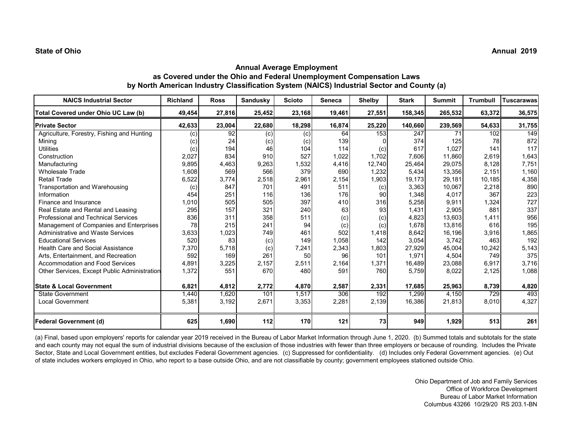# **Annual Average Employment as Covered under the Ohio and Federal Unemployment Compensation Laws by North American Industry Classification System (NAICS) Industrial Sector and County (a)**

| <b>NAICS Industrial Sector</b>               | <b>Richland</b> | <b>Ross</b> | <b>Sandusky</b> | <b>Scioto</b> | <b>Seneca</b> | <b>Shelby</b> | <b>Stark</b> | <b>Summit</b> | <b>Trumbull</b> | <b>Tuscarawas</b> |
|----------------------------------------------|-----------------|-------------|-----------------|---------------|---------------|---------------|--------------|---------------|-----------------|-------------------|
| Total Covered under Ohio UC Law (b)          | 49,454          | 27,816      | 25,452          | 23,168        | 19,461        | 27,551        | 158,345      | 265,532       | 63,372          | 36,575            |
| <b>Private Sector</b>                        | 42,633          | 23,004      | 22,680          | 18,298        | 16,874        | 25,220        | 140,660      | 239,569       | 54,633          | 31,755            |
| Agriculture, Forestry, Fishing and Hunting   | (c)             | 92          | (c)             | (c)           | 64            | 153           | 247          | 71            | 102             | 149               |
| Mining                                       | (c)             | 24          | (c)             | (c)           | 139           |               | 374          | 125           | 78              | 872               |
| <b>Utilities</b>                             | (c)             | 194         | 46              | 104           | 114           | (c)           | 617          | 1,027         | 141             | 117               |
| Construction                                 | 2,027           | 834         | 910             | 527           | 1,022         | 1,702         | 7,606        | 11,860        | 2,619           | 1,643             |
| Manufacturing                                | 9,895           | 4,463       | 9,263           | 1,532         | 4,416         | 12,740        | 25,464       | 29,075        | 8,128           | 7,751             |
| <b>Wholesale Trade</b>                       | 1,608           | 569         | 566             | 379           | 690           | 1,232         | 5,434        | 13,356        | 2,151           | 1,160             |
| <b>Retail Trade</b>                          | 6,522           | 3,774       | 2,518           | 2,961         | 2,154         | 1,903         | 19,173       | 29,181        | 10,185          | 4,358             |
| Transportation and Warehousing               | (c)             | 847         | 701             | 491           | 511           | (c)           | 3,363        | 10,067        | 2,218           | 890               |
| Information                                  | 454             | 251         | 116             | 136           | 176           | 90            | 1,348        | 4,017         | 367             | 223               |
| Finance and Insurance                        | 1,010           | 505         | 505             | 397           | 410           | 316           | 5,258        | 9,911         | 1,324           | 727               |
| Real Estate and Rental and Leasing           | 295             | 157         | 321             | 240           | 63            | 93            | 1,431        | 2,905         | 881             | 337               |
| Professional and Technical Services          | 836             | 311         | 358             | 511           | (c)           | (c)           | 4,823        | 13,603        | 1,411           | 956               |
| Management of Companies and Enterprises      | 78              | 215         | 241             | 94            | (c)           | (c)           | 1,678        | 13,816        | 616             | 195               |
| <b>Administrative and Waste Services</b>     | 3,633           | 1,023       | 749             | 461           | 502           | 1,418         | 8,642        | 16,196        | 3,916           | 1,865             |
| <b>Educational Services</b>                  | 520             | 83          | (c)             | 149           | 1,058         | 142           | 3,054        | 3,742         | 463             | 192               |
| <b>Health Care and Social Assistance</b>     | 7,370           | 5,718       | (c)             | 7,241         | 2,343         | 1,803         | 27,929       | 45,004        | 10,242          | 5,143             |
| Arts, Entertainment, and Recreation          | 592             | 169         | 261             | 50            | 96            | 101           | 1,971        | 4,504         | 749             | 375               |
| <b>Accommodation and Food Services</b>       | 4,891           | 3,225       | 2,157           | 2,511         | 2,164         | 1,371         | 16,489       | 23,088        | 6,917           | 3,716             |
| Other Services, Except Public Administration | 1,372           | 551         | 670             | 480           | 591           | 760           | 5,759        | 8,022         | 2,125           | 1,088             |
| <b>State &amp; Local Government</b>          | 6,821           | 4,812       | 2,772           | 4,870         | 2,587         | 2,331         | 17,685       | 25,963        | 8,739           | 4,820             |
| <b>State Government</b>                      | 1,440           | 1,620       | 101             | 1,517         | 306           | 192           | 1,299        | 4,150         | 729             | 493               |
| Local Government                             | 5,381           | 3,192       | 2,671           | 3,353         | 2,281         | 2,139         | 16,386       | 21,813        | 8,010           | 4,327             |
| <b>Federal Government (d)</b>                | 625             | 1,690       | 112             | 170           | 121           | 73            | 949          | 1,929         | 513             | 261               |

(a) Final, based upon employers' reports for calendar year 2019 received in the Bureau of Labor Market Information through June 1, 2020. (b) Summed totals and subtotals for the state and each county may not equal the sum of industrial divisions because of the exclusion of those industries with fewer than three employers or because of rounding. Includes the Private Sector, State and Local Government entities, but excludes Federal Government agencies. (c) Suppressed for confidentiality. (d) Includes only Federal Government agencies. (e) Out of state includes workers employed in Ohio, who report to a base outside Ohio, and are not classifiable by county; government employees stationed outside Ohio.